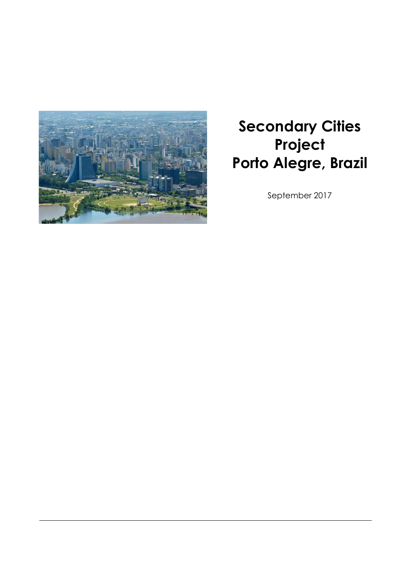

# **Secondary Cities Project Porto Alegre, Brazil**

September 2017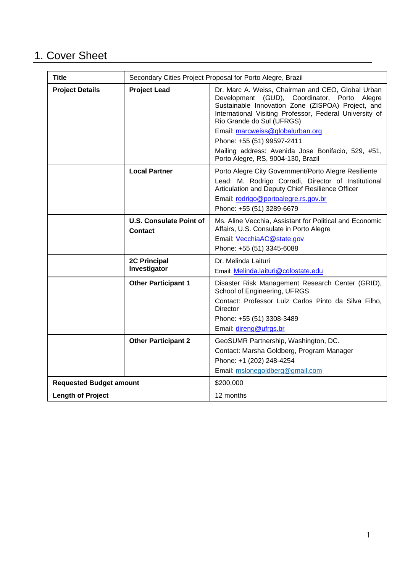# 1. Cover Sheet

| Title                          | Secondary Cities Project Proposal for Porto Alegre, Brazil |                                                                                                                                                                                                                                                |
|--------------------------------|------------------------------------------------------------|------------------------------------------------------------------------------------------------------------------------------------------------------------------------------------------------------------------------------------------------|
| <b>Project Details</b>         | <b>Project Lead</b>                                        | Dr. Marc A. Weiss, Chairman and CEO, Global Urban<br>Development (GUD), Coordinator, Porto Alegre<br>Sustainable Innovation Zone (ZISPOA) Project, and<br>International Visiting Professor, Federal University of<br>Rio Grande do Sul (UFRGS) |
|                                |                                                            | Email: marcweiss@globalurban.org<br>Phone: +55 (51) 99597-2411                                                                                                                                                                                 |
|                                |                                                            |                                                                                                                                                                                                                                                |
|                                |                                                            | Mailing address: Avenida Jose Bonifacio, 529, #51,<br>Porto Alegre, RS, 9004-130, Brazil                                                                                                                                                       |
|                                | <b>Local Partner</b>                                       | Porto Alegre City Government/Porto Alegre Resiliente<br>Lead: M. Rodrigo Corradi, Director of Institutional<br>Articulation and Deputy Chief Resilience Officer<br>Email: rodrigo@portoalegre.rs.gov.br<br>Phone: +55 (51) 3289-6679           |
|                                | <b>U.S. Consulate Point of</b><br><b>Contact</b>           | Ms. Aline Vecchia, Assistant for Political and Economic<br>Affairs, U.S. Consulate in Porto Alegre<br>Email: VecchiaAC@state.gov<br>Phone: +55 (51) 3345-6088                                                                                  |
|                                | <b>2C Principal</b><br>Investigator                        | Dr. Melinda Laituri<br>Email: Melinda.laituri@colostate.edu                                                                                                                                                                                    |
|                                | <b>Other Participant 1</b>                                 | Disaster Risk Management Research Center (GRID),<br>School of Engineering, UFRGS<br>Contact: Professor Luiz Carlos Pinto da Silva Filho,<br><b>Director</b><br>Phone: +55 (51) 3308-3489<br>Email: direng@ufrgs.br                             |
|                                | <b>Other Participant 2</b>                                 | GeoSUMR Partnership, Washington, DC.<br>Contact: Marsha Goldberg, Program Manager<br>Phone: +1 (202) 248-4254<br>Email: mslonegoldberg@gmail.com                                                                                               |
| <b>Requested Budget amount</b> |                                                            | \$200,000                                                                                                                                                                                                                                      |
| <b>Length of Project</b>       |                                                            | 12 months                                                                                                                                                                                                                                      |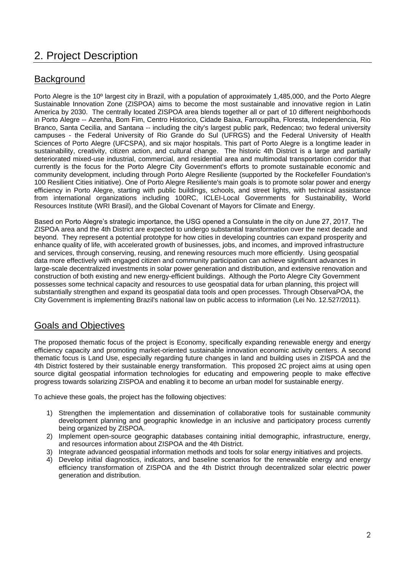# 2. Project Description

# **Background**

Porto Alegre is the 10º largest city in Brazil, with a population of approximately 1,485,000, and the Porto Alegre Sustainable Innovation Zone (ZISPOA) aims to become the most sustainable and innovative region in Latin America by 2030. The centrally located ZISPOA area blends together all or part of 10 different neighborhoods in Porto Alegre -- Azenha, Bom Fim, Centro Historico, Cidade Baixa, Farroupilha, Floresta, Independencia, Rio Branco, Santa Cecilia, and Santana -- including the city's largest public park, Redencao; two federal university campuses - the Federal University of Rio Grande do Sul (UFRGS) and the Federal University of Health Sciences of Porto Alegre (UFCSPA), and six major hospitals. This part of Porto Alegre is a longtime leader in sustainability, creativity, citizen action, and cultural change. The historic 4th District is a large and partially deteriorated mixed-use industrial, commercial, and residential area and multimodal transportation corridor that currently is the focus for the Porto Alegre City Government's efforts to promote sustainable economic and community development, including through Porto Alegre Resiliente (supported by the Rockefeller Foundation's 100 Resilient Cities initiative). One of Porto Alegre Resiliente's main goals is to promote solar power and energy efficiency in Porto Alegre, starting with public buildings, schools, and street lights, with technical assistance from international organizations including 100RC, ICLEI-Local Governments for Sustainability, World Resources Institute (WRI Brasil), and the Global Covenant of Mayors for Climate and Energy.

Based on Porto Alegre's strategic importance, the USG opened a Consulate in the city on June 27, 2017. The ZISPOA area and the 4th District are expected to undergo substantial transformation over the next decade and beyond. They represent a potential prototype for how cities in developing countries can expand prosperity and enhance quality of life, with accelerated growth of businesses, jobs, and incomes, and improved infrastructure and services, through conserving, reusing, and renewing resources much more efficiently. Using geospatial data more effectively with engaged citizen and community participation can achieve significant advances in large-scale decentralized investments in solar power generation and distribution, and extensive renovation and construction of both existing and new energy-efficient buildings. Although the Porto Alegre City Government possesses some technical capacity and resources to use geospatial data for urban planning, this project will substantially strengthen and expand its geospatial data tools and open processes. Through ObservaPOA, the City Government is implementing Brazil's national law on public access to information (Lei No. 12.527/2011).

# Goals and Objectives

The proposed thematic focus of the project is Economy, specifically expanding renewable energy and energy efficiency capacity and promoting market-oriented sustainable innovation economic activity centers. A second thematic focus is Land Use, especially regarding future changes in land and building uses in ZISPOA and the 4th District fostered by their sustainable energy transformation. This proposed 2C project aims at using open source digital geospatial information technologies for educating and empowering people to make effective progress towards solarizing ZISPOA and enabling it to become an urban model for sustainable energy.

To achieve these goals, the project has the following objectives:

- 1) Strengthen the implementation and dissemination of collaborative tools for sustainable community development planning and geographic knowledge in an inclusive and participatory process currently being organized by ZISPOA.
- 2) Implement open-source geographic databases containing initial demographic, infrastructure, energy, and resources information about ZISPOA and the 4th District.
- 3) Integrate advanced geospatial information methods and tools for solar energy initiatives and projects.
- 4) Develop initial diagnostics, indicators, and baseline scenarios for the renewable energy and energy efficiency transformation of ZISPOA and the 4th District through decentralized solar electric power generation and distribution.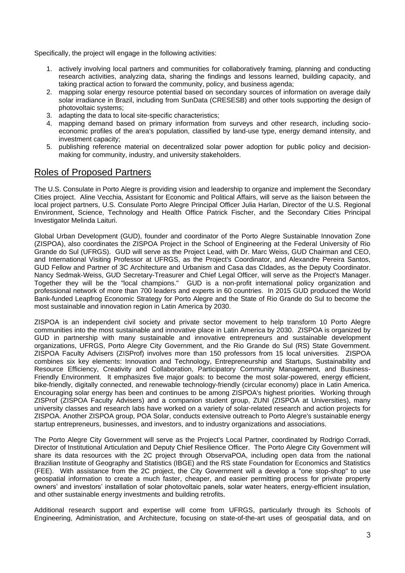Specifically, the project will engage in the following activities:

- 1. actively involving local partners and communities for collaboratively framing, planning and conducting research activities, analyzing data, sharing the findings and lessons learned, building capacity, and taking practical action to forward the community, policy, and business agenda;
- 2. mapping solar energy resource potential based on secondary sources of information on average daily solar irradiance in Brazil, including from SunData (CRESESB) and other tools supporting the design of photovoltaic systems;
- 3. adapting the data to local site-specific characteristics;
- 4. mapping demand based on primary information from surveys and other research, including socioeconomic profiles of the area's population, classified by land-use type, energy demand intensity, and investment capacity;
- 5. publishing reference material on decentralized solar power adoption for public policy and decisionmaking for community, industry, and university stakeholders.

### Roles of Proposed Partners

The U.S. Consulate in Porto Alegre is providing vision and leadership to organize and implement the Secondary Cities project. Aline Vecchia, Assistant for Economic and Political Affairs, will serve as the liaison between the local project partners, U.S. Consulate Porto Alegre Principal Officer Julia Harlan, Director of the U.S. Regional Environment, Science, Technology and Health Office Patrick Fischer, and the Secondary Cities Principal Investigator Melinda Laituri.

Global Urban Development (GUD), founder and coordinator of the Porto Alegre Sustainable Innovation Zone (ZISPOA), also coordinates the ZISPOA Project in the School of Engineering at the Federal University of Rio Grande do Sul (UFRGS). GUD will serve as the Project Lead, with Dr. Marc Weiss, GUD Chairman and CEO, and International Visiting Professor at UFRGS, as the Project's Coordinator, and Alexandre Pereira Santos, GUD Fellow and Partner of 3C Architecture and Urbanism and Casa das CIdades, as the Deputy Coordinator. Nancy Sedmak-Weiss, GUD Secretary-Treasurer and Chief Legal Officer, will serve as the Project's Manager. Together they will be the "local champions." GUD is a non-profit international policy organization and professional network of more than 700 leaders and experts in 60 countries. In 2015 GUD produced the World Bank-funded Leapfrog Economic Strategy for Porto Alegre and the State of Rio Grande do Sul to become the most sustainable and innovation region in Latin America by 2030.

ZISPOA is an independent civil society and private sector movement to help transform 10 Porto Alegre communities into the most sustainable and innovative place in Latin America by 2030. ZISPOA is organized by GUD in partnership with many sustainable and innovative entrepreneurs and sustainable development organizations, UFRGS, Porto Alegre City Government, and the Rio Grande do Sul (RS) State Government. ZISPOA Faculty Advisers (ZISProf) involves more than 150 professors from 15 local universities. ZISPOA combines six key elements: Innovation and Technology, Entrepreneurship and Startups, Sustainability and Resource Efficiency, Creativity and Collaboration, Participatory Community Management, and Business-Friendly Environment. It emphasizes five major goals: to become the most solar-powered, energy efficient, bike-friendly, digitally connected, and renewable technology-friendly (circular economy) place in Latin America. Encouraging solar energy has been and continues to be among ZISPOA's highest priorities. Working through ZISProf (ZISPOA Faculty Advisers) and a companion student group, ZUNI (ZISPOA at Universities), many university classes and research labs have worked on a variety of solar-related research and action projects for ZISPOA. Another ZISPOA group, POA Solar, conducts extensive outreach to Porto Alegre's sustainable energy startup entrepreneurs, businesses, and investors, and to industry organizations and associations.

The Porto Alegre City Government will serve as the Project's Local Partner, coordinated by Rodrigo Corradi, Director of Institutional Articulation and Deputy Chief Resilience Officer. The Porto Alegre City Government will share its data resources with the 2C project through ObservaPOA, including open data from the national Brazilian Institute of Geography and Statistics (IBGE) and the RS state Foundation for Economics and Statistics (FEE). With assistance from the 2C project, the City Government will a develop a "one stop-shop" to use geospatial information to create a much faster, cheaper, and easier permitting process for private property owners' and investors' installation of solar photovoltaic panels, solar water heaters, energy-efficient insulation, and other sustainable energy investments and building retrofits.

Additional research support and expertise will come from UFRGS, particularly through its Schools of Engineering, Administration, and Architecture, focusing on state-of-the-art uses of geospatial data, and on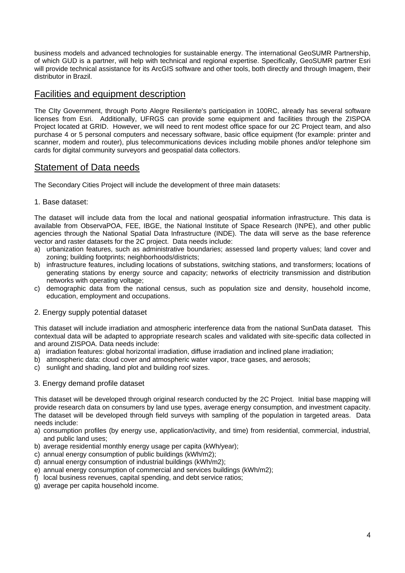business models and advanced technologies for sustainable energy. The international GeoSUMR Partnership, of which GUD is a partner, will help with technical and regional expertise. Specifically, GeoSUMR partner Esri will provide technical assistance for its ArcGIS software and other tools, both directly and through Imagem, their distributor in Brazil.

### Facilities and equipment description

The CIty Government, through Porto Alegre Resiliente's participation in 100RC, already has several software licenses from Esri. Additionally, UFRGS can provide some equipment and facilities through the ZISPOA Project located at GRID. However, we will need to rent modest office space for our 2C Project team. and also purchase 4 or 5 personal computers and necessary software, basic office equipment (for example: printer and scanner, modem and router), plus telecommunications devices including mobile phones and/or telephone sim cards for digital community surveyors and geospatial data collectors.

# Statement of Data needs

The Secondary Cities Project will include the development of three main datasets:

#### 1. Base dataset:

The dataset will include data from the local and national geospatial information infrastructure. This data is available from ObservaPOA, FEE, IBGE, the National Institute of Space Research (INPE), and other public agencies through the National Spatial Data Infrastructure (INDE). The data will serve as the base reference vector and raster datasets for the 2C project. Data needs include:

- a) urbanization features, such as administrative boundaries; assessed land property values; land cover and zoning; building footprints; neighborhoods/districts;
- b) infrastructure features, including locations of substations, switching stations, and transformers; locations of generating stations by energy source and capacity; networks of electricity transmission and distribution networks with operating voltage;
- c) demographic data from the national census, such as population size and density, household income, education, employment and occupations.

#### 2. Energy supply potential dataset

This dataset will include irradiation and atmospheric interference data from the national SunData dataset. This contextual data will be adapted to appropriate research scales and validated with site-specific data collected in and around ZISPOA. Data needs include:

- a) irradiation features: global horizontal irradiation, diffuse irradiation and inclined plane irradiation;
- b) atmospheric data: cloud cover and atmospheric water vapor, trace gases, and aerosols;
- c) sunlight and shading, land plot and building roof sizes.

#### 3. Energy demand profile dataset

This dataset will be developed through original research conducted by the 2C Project. Initial base mapping will provide research data on consumers by land use types, average energy consumption, and investment capacity. The dataset will be developed through field surveys with sampling of the population in targeted areas. Data needs include:

- a) consumption profiles (by energy use, application/activity, and time) from residential, commercial, industrial, and public land uses;
- b) average residential monthly energy usage per capita (kWh/year);
- c) annual energy consumption of public buildings (kWh/m2);
- d) annual energy consumption of industrial buildings (kWh/m2);
- e) annual energy consumption of commercial and services buildings (kWh/m2);
- f) local business revenues, capital spending, and debt service ratios;
- g) average per capita household income.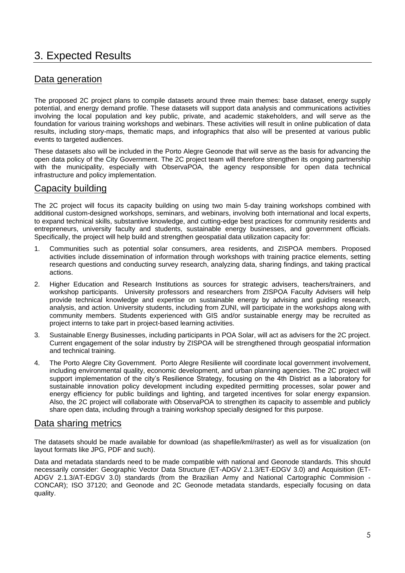# 3. Expected Results

# Data generation

The proposed 2C project plans to compile datasets around three main themes: base dataset, energy supply potential, and energy demand profile. These datasets will support data analysis and communications activities involving the local population and key public, private, and academic stakeholders, and will serve as the foundation for various training workshops and webinars. These activities will result in online publication of data results, including story-maps, thematic maps, and infographics that also will be presented at various public events to targeted audiences.

These datasets also will be included in the Porto Alegre Geonode that will serve as the basis for advancing the open data policy of the City Government. The 2C project team will therefore strengthen its ongoing partnership with the municipality, especially with ObservaPOA, the agency responsible for open data technical infrastructure and policy implementation.

# Capacity building

The 2C project will focus its capacity building on using two main 5-day training workshops combined with additional custom-designed workshops, seminars, and webinars, involving both international and local experts, to expand technical skills, substantive knowledge, and cutting-edge best practices for community residents and entrepreneurs, university faculty and students, sustainable energy businesses, and government officials. Specifically, the project will help build and strengthen geospatial data utilization capacity for:

- 1. Communities such as potential solar consumers, area residents, and ZISPOA members. Proposed activities include dissemination of information through workshops with training practice elements, setting research questions and conducting survey research, analyzing data, sharing findings, and taking practical actions.
- 2. Higher Education and Research Institutions as sources for strategic advisers, teachers/trainers, and workshop participants. University professors and researchers from ZISPOA Faculty Advisers will help provide technical knowledge and expertise on sustainable energy by advising and guiding research, analysis, and action. University students, including from ZUNI, will participate in the workshops along with community members. Students experienced with GIS and/or sustainable energy may be recruited as project interns to take part in project-based learning activities.
- 3. Sustainable Energy Businesses, including participants in POA Solar, will act as advisers for the 2C project. Current engagement of the solar industry by ZISPOA will be strengthened through geospatial information and technical training.
- 4. The Porto Alegre City Government. Porto Alegre Resiliente will coordinate local government involvement, including environmental quality, economic development, and urban planning agencies. The 2C project will support implementation of the city's Resilience Strategy, focusing on the 4th District as a laboratory for sustainable innovation policy development including expedited permitting processes, solar power and energy efficiency for public buildings and lighting, and targeted incentives for solar energy expansion. Also, the 2C project will collaborate with ObservaPOA to strengthen its capacity to assemble and publicly share open data, including through a training workshop specially designed for this purpose.

### Data sharing metrics

The datasets should be made available for download (as shapefile/kml/raster) as well as for visualization (on layout formats like JPG, PDF and such).

Data and metadata standards need to be made compatible with national and Geonode standards. This should necessarily consider: Geographic Vector Data Structure (ET-ADGV 2.1.3/ET-EDGV 3.0) and Acquisition (ET-ADGV 2.1.3/AT-EDGV 3.0) standards (from the Brazilian Army and National Cartographic Commision - CONCAR); ISO 37120; and Geonode and 2C Geonode metadata standards, especially focusing on data quality.